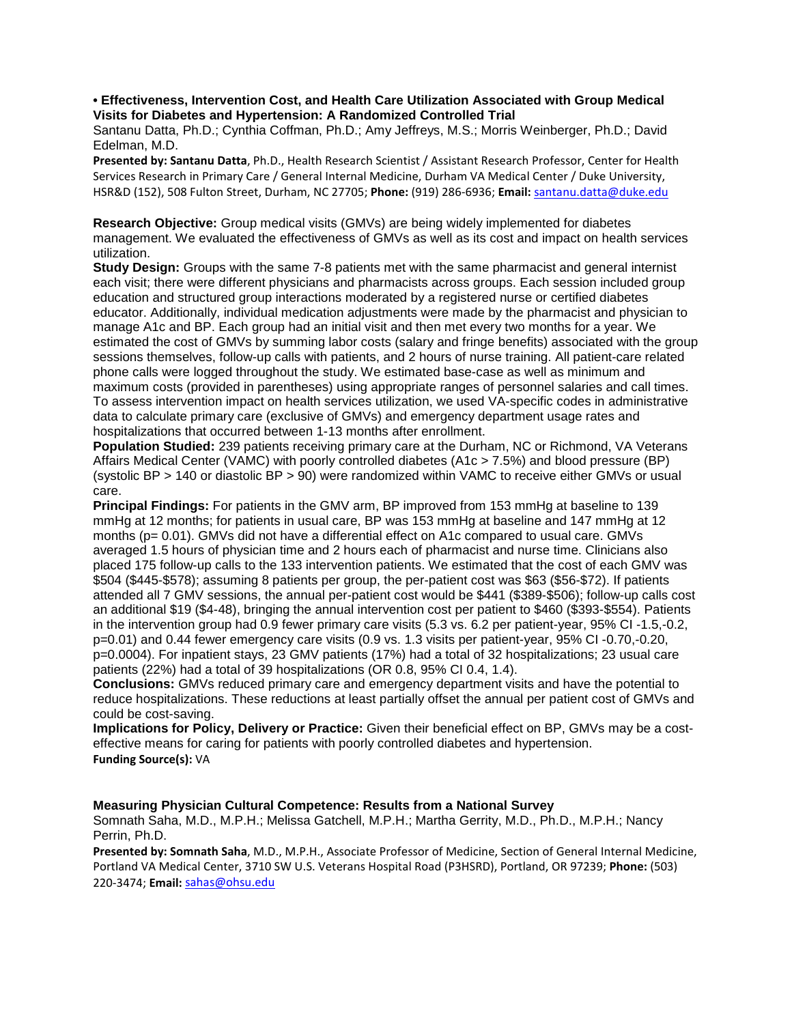**• Effectiveness, Intervention Cost, and Health Care Utilization Associated with Group Medical Visits for Diabetes and Hypertension: A Randomized Controlled Trial** 

Santanu Datta, Ph.D.; Cynthia Coffman, Ph.D.; Amy Jeffreys, M.S.; Morris Weinberger, Ph.D.; David Edelman, M.D.

**Presented by: Santanu Datta**, Ph.D., Health Research Scientist / Assistant Research Professor, Center for Health Services Research in Primary Care / General Internal Medicine, Durham VA Medical Center / Duke University, HSR&D (152), 508 Fulton Street, Durham, NC 27705; **Phone:** (919) 286-6936; **Email:** [santanu.datta@duke.edu](mailto:santanu.datta@duke.edu)

**Research Objective:** Group medical visits (GMVs) are being widely implemented for diabetes management. We evaluated the effectiveness of GMVs as well as its cost and impact on health services utilization.

**Study Design:** Groups with the same 7-8 patients met with the same pharmacist and general internist each visit; there were different physicians and pharmacists across groups. Each session included group education and structured group interactions moderated by a registered nurse or certified diabetes educator. Additionally, individual medication adjustments were made by the pharmacist and physician to manage A1c and BP. Each group had an initial visit and then met every two months for a year. We estimated the cost of GMVs by summing labor costs (salary and fringe benefits) associated with the group sessions themselves, follow-up calls with patients, and 2 hours of nurse training. All patient-care related phone calls were logged throughout the study. We estimated base-case as well as minimum and maximum costs (provided in parentheses) using appropriate ranges of personnel salaries and call times. To assess intervention impact on health services utilization, we used VA-specific codes in administrative data to calculate primary care (exclusive of GMVs) and emergency department usage rates and hospitalizations that occurred between 1-13 months after enrollment.

**Population Studied:** 239 patients receiving primary care at the Durham, NC or Richmond, VA Veterans Affairs Medical Center (VAMC) with poorly controlled diabetes (A1c > 7.5%) and blood pressure (BP) (systolic BP > 140 or diastolic BP > 90) were randomized within VAMC to receive either GMVs or usual care.

**Principal Findings:** For patients in the GMV arm, BP improved from 153 mmHg at baseline to 139 mmHg at 12 months; for patients in usual care, BP was 153 mmHg at baseline and 147 mmHg at 12 months (p= 0.01). GMVs did not have a differential effect on A1c compared to usual care. GMVs averaged 1.5 hours of physician time and 2 hours each of pharmacist and nurse time. Clinicians also placed 175 follow-up calls to the 133 intervention patients. We estimated that the cost of each GMV was \$504 (\$445-\$578); assuming 8 patients per group, the per-patient cost was \$63 (\$56-\$72). If patients attended all 7 GMV sessions, the annual per-patient cost would be \$441 (\$389-\$506); follow-up calls cost an additional \$19 (\$4-48), bringing the annual intervention cost per patient to \$460 (\$393-\$554). Patients in the intervention group had 0.9 fewer primary care visits (5.3 vs. 6.2 per patient-year, 95% CI -1.5,-0.2, p=0.01) and 0.44 fewer emergency care visits (0.9 vs. 1.3 visits per patient-year, 95% CI -0.70,-0.20, p=0.0004). For inpatient stays, 23 GMV patients (17%) had a total of 32 hospitalizations; 23 usual care patients (22%) had a total of 39 hospitalizations (OR 0.8, 95% CI 0.4, 1.4).

**Conclusions:** GMVs reduced primary care and emergency department visits and have the potential to reduce hospitalizations. These reductions at least partially offset the annual per patient cost of GMVs and could be cost-saving.

**Implications for Policy, Delivery or Practice:** Given their beneficial effect on BP, GMVs may be a costeffective means for caring for patients with poorly controlled diabetes and hypertension. **Funding Source(s):** VA

## **Measuring Physician Cultural Competence: Results from a National Survey**

Somnath Saha, M.D., M.P.H.; Melissa Gatchell, M.P.H.; Martha Gerrity, M.D., Ph.D., M.P.H.; Nancy Perrin, Ph.D.

**Presented by: Somnath Saha**, M.D., M.P.H., Associate Professor of Medicine, Section of General Internal Medicine, Portland VA Medical Center, 3710 SW U.S. Veterans Hospital Road (P3HSRD), Portland, OR 97239; **Phone:** (503) 220-3474; **Email:** [sahas@ohsu.edu](mailto:sahas@ohsu.edu)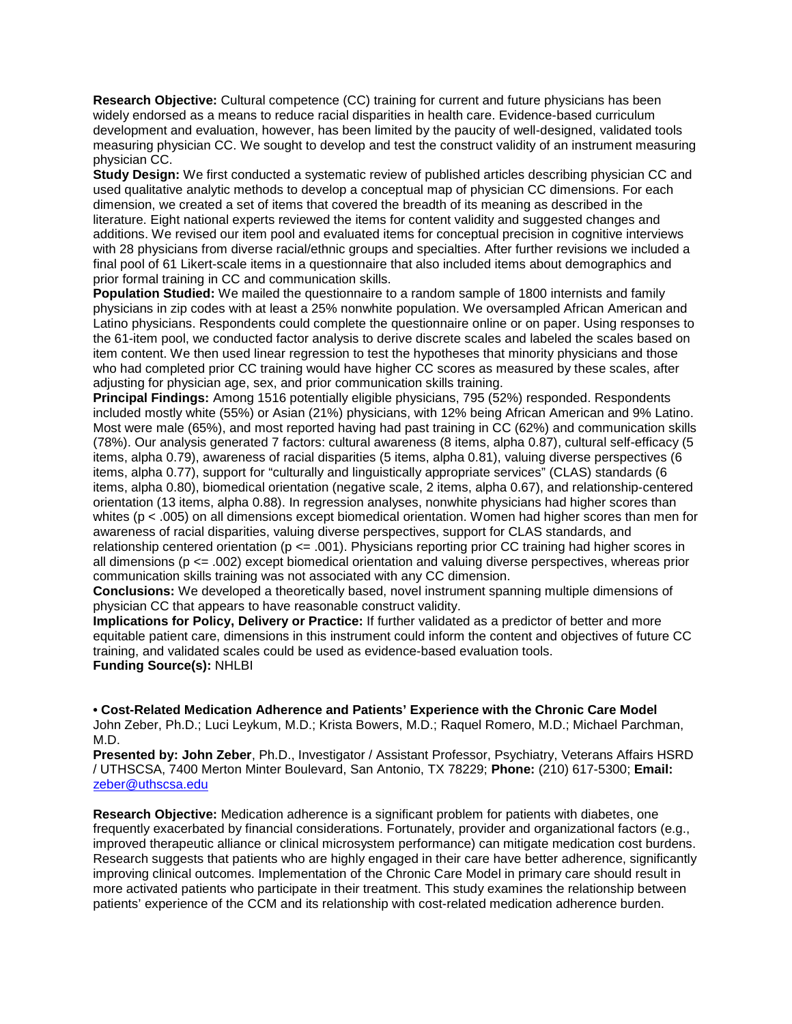**Research Objective:** Cultural competence (CC) training for current and future physicians has been widely endorsed as a means to reduce racial disparities in health care. Evidence-based curriculum development and evaluation, however, has been limited by the paucity of well-designed, validated tools measuring physician CC. We sought to develop and test the construct validity of an instrument measuring physician CC.

**Study Design:** We first conducted a systematic review of published articles describing physician CC and used qualitative analytic methods to develop a conceptual map of physician CC dimensions. For each dimension, we created a set of items that covered the breadth of its meaning as described in the literature. Eight national experts reviewed the items for content validity and suggested changes and additions. We revised our item pool and evaluated items for conceptual precision in cognitive interviews with 28 physicians from diverse racial/ethnic groups and specialties. After further revisions we included a final pool of 61 Likert-scale items in a questionnaire that also included items about demographics and prior formal training in CC and communication skills.

**Population Studied:** We mailed the questionnaire to a random sample of 1800 internists and family physicians in zip codes with at least a 25% nonwhite population. We oversampled African American and Latino physicians. Respondents could complete the questionnaire online or on paper. Using responses to the 61-item pool, we conducted factor analysis to derive discrete scales and labeled the scales based on item content. We then used linear regression to test the hypotheses that minority physicians and those who had completed prior CC training would have higher CC scores as measured by these scales, after adjusting for physician age, sex, and prior communication skills training.

**Principal Findings:** Among 1516 potentially eligible physicians, 795 (52%) responded. Respondents included mostly white (55%) or Asian (21%) physicians, with 12% being African American and 9% Latino. Most were male (65%), and most reported having had past training in CC (62%) and communication skills (78%). Our analysis generated 7 factors: cultural awareness (8 items, alpha 0.87), cultural self-efficacy (5 items, alpha 0.79), awareness of racial disparities (5 items, alpha 0.81), valuing diverse perspectives (6 items, alpha 0.77), support for "culturally and linguistically appropriate services" (CLAS) standards (6 items, alpha 0.80), biomedical orientation (negative scale, 2 items, alpha 0.67), and relationship-centered orientation (13 items, alpha 0.88). In regression analyses, nonwhite physicians had higher scores than whites (p < .005) on all dimensions except biomedical orientation. Women had higher scores than men for awareness of racial disparities, valuing diverse perspectives, support for CLAS standards, and relationship centered orientation ( $p \le 0.001$ ). Physicians reporting prior CC training had higher scores in all dimensions ( $p \le 0.02$ ) except biomedical orientation and valuing diverse perspectives, whereas prior communication skills training was not associated with any CC dimension.

**Conclusions:** We developed a theoretically based, novel instrument spanning multiple dimensions of physician CC that appears to have reasonable construct validity.

**Implications for Policy, Delivery or Practice:** If further validated as a predictor of better and more equitable patient care, dimensions in this instrument could inform the content and objectives of future CC training, and validated scales could be used as evidence-based evaluation tools. **Funding Source(s):** NHLBI

**• Cost-Related Medication Adherence and Patients' Experience with the Chronic Care Model**  John Zeber, Ph.D.; Luci Leykum, M.D.; Krista Bowers, M.D.; Raquel Romero, M.D.; Michael Parchman, M.D.

**Presented by: John Zeber**, Ph.D., Investigator / Assistant Professor, Psychiatry, Veterans Affairs HSRD / UTHSCSA, 7400 Merton Minter Boulevard, San Antonio, TX 78229; **Phone:** (210) 617-5300; **Email:**  [zeber@uthscsa.edu](mailto:zeber@uthscsa.edu)

**Research Objective:** Medication adherence is a significant problem for patients with diabetes, one frequently exacerbated by financial considerations. Fortunately, provider and organizational factors (e.g., improved therapeutic alliance or clinical microsystem performance) can mitigate medication cost burdens. Research suggests that patients who are highly engaged in their care have better adherence, significantly improving clinical outcomes. Implementation of the Chronic Care Model in primary care should result in more activated patients who participate in their treatment. This study examines the relationship between patients' experience of the CCM and its relationship with cost-related medication adherence burden.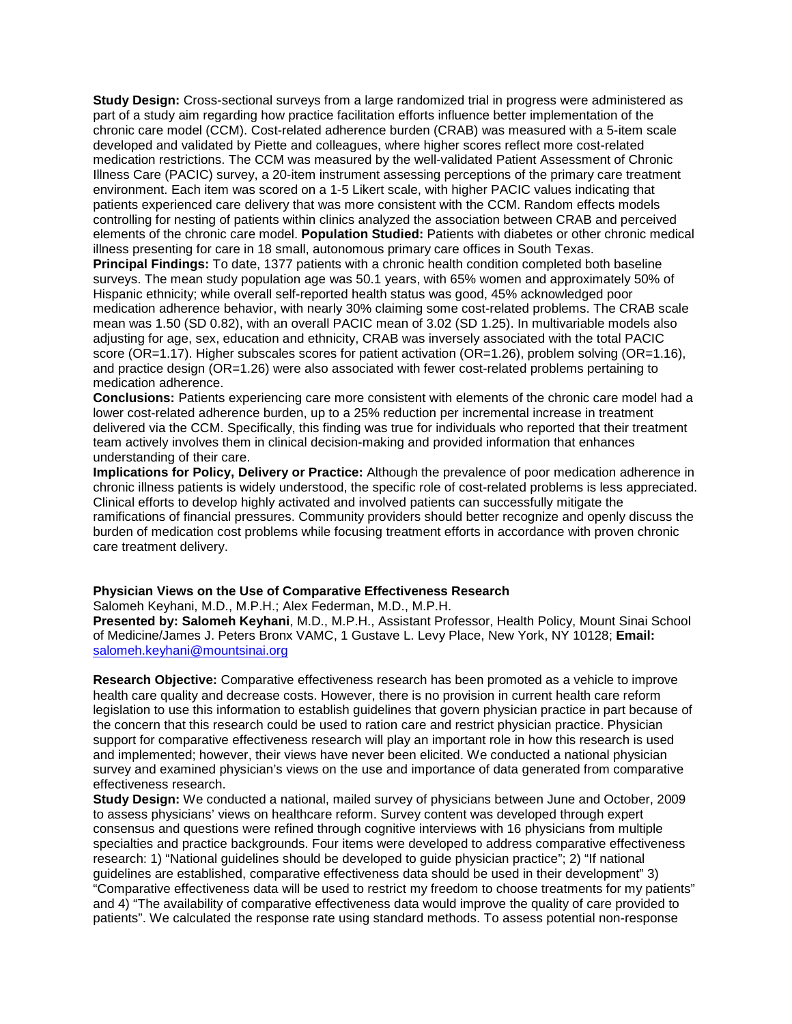**Study Design:** Cross-sectional surveys from a large randomized trial in progress were administered as part of a study aim regarding how practice facilitation efforts influence better implementation of the chronic care model (CCM). Cost-related adherence burden (CRAB) was measured with a 5-item scale developed and validated by Piette and colleagues, where higher scores reflect more cost-related medication restrictions. The CCM was measured by the well-validated Patient Assessment of Chronic Illness Care (PACIC) survey, a 20-item instrument assessing perceptions of the primary care treatment environment. Each item was scored on a 1-5 Likert scale, with higher PACIC values indicating that patients experienced care delivery that was more consistent with the CCM. Random effects models controlling for nesting of patients within clinics analyzed the association between CRAB and perceived elements of the chronic care model. **Population Studied:** Patients with diabetes or other chronic medical illness presenting for care in 18 small, autonomous primary care offices in South Texas.

**Principal Findings:** To date, 1377 patients with a chronic health condition completed both baseline surveys. The mean study population age was 50.1 years, with 65% women and approximately 50% of Hispanic ethnicity; while overall self-reported health status was good, 45% acknowledged poor medication adherence behavior, with nearly 30% claiming some cost-related problems. The CRAB scale mean was 1.50 (SD 0.82), with an overall PACIC mean of 3.02 (SD 1.25). In multivariable models also adjusting for age, sex, education and ethnicity, CRAB was inversely associated with the total PACIC score (OR=1.17). Higher subscales scores for patient activation (OR=1.26), problem solving (OR=1.16), and practice design (OR=1.26) were also associated with fewer cost-related problems pertaining to medication adherence.

**Conclusions:** Patients experiencing care more consistent with elements of the chronic care model had a lower cost-related adherence burden, up to a 25% reduction per incremental increase in treatment delivered via the CCM. Specifically, this finding was true for individuals who reported that their treatment team actively involves them in clinical decision-making and provided information that enhances understanding of their care.

**Implications for Policy, Delivery or Practice:** Although the prevalence of poor medication adherence in chronic illness patients is widely understood, the specific role of cost-related problems is less appreciated. Clinical efforts to develop highly activated and involved patients can successfully mitigate the ramifications of financial pressures. Community providers should better recognize and openly discuss the burden of medication cost problems while focusing treatment efforts in accordance with proven chronic care treatment delivery.

## **Physician Views on the Use of Comparative Effectiveness Research**

Salomeh Keyhani, M.D., M.P.H.; Alex Federman, M.D., M.P.H.

**Presented by: Salomeh Keyhani**, M.D., M.P.H., Assistant Professor, Health Policy, Mount Sinai School of Medicine/James J. Peters Bronx VAMC, 1 Gustave L. Levy Place, New York, NY 10128; **Email:**  [salomeh.keyhani@mountsinai.org](mailto:salomeh.keyhani@mountsinai.org)

**Research Objective:** Comparative effectiveness research has been promoted as a vehicle to improve health care quality and decrease costs. However, there is no provision in current health care reform legislation to use this information to establish guidelines that govern physician practice in part because of the concern that this research could be used to ration care and restrict physician practice. Physician support for comparative effectiveness research will play an important role in how this research is used and implemented; however, their views have never been elicited. We conducted a national physician survey and examined physician's views on the use and importance of data generated from comparative effectiveness research.

**Study Design:** We conducted a national, mailed survey of physicians between June and October, 2009 to assess physicians' views on healthcare reform. Survey content was developed through expert consensus and questions were refined through cognitive interviews with 16 physicians from multiple specialties and practice backgrounds. Four items were developed to address comparative effectiveness research: 1) "National guidelines should be developed to guide physician practice"; 2) "If national guidelines are established, comparative effectiveness data should be used in their development" 3) "Comparative effectiveness data will be used to restrict my freedom to choose treatments for my patients" and 4) "The availability of comparative effectiveness data would improve the quality of care provided to patients". We calculated the response rate using standard methods. To assess potential non-response